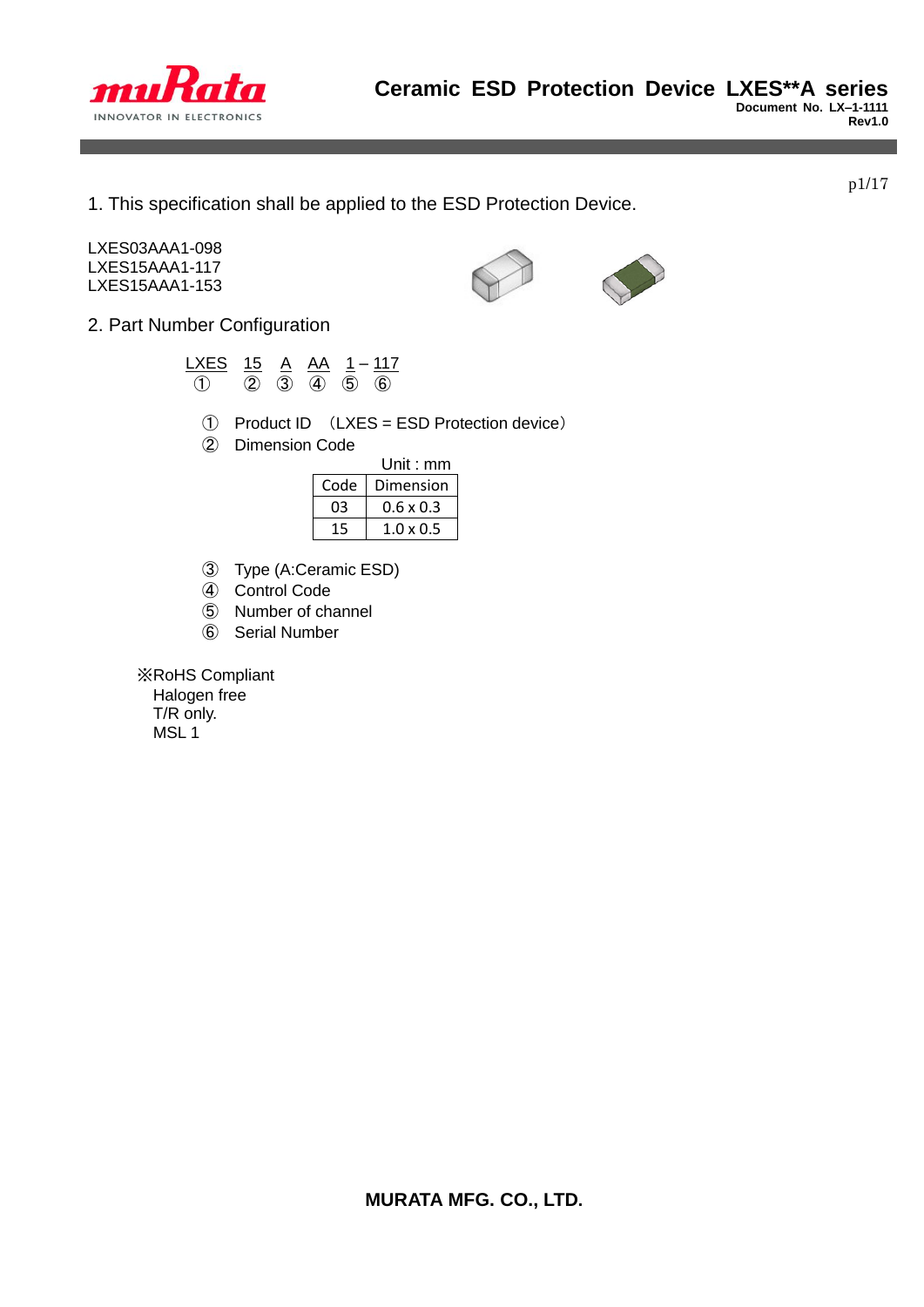

1. This specification shall be applied to the ESD Protection Device.

LXES03AAA1-098 LXES15AAA1-117 LXES15AAA1-153



<u>LXES 15 A AA 1 – 117</u> ① ② ③ ④ ⑤ ⑥

- ① Product ID (LXES = ESD Protection device)
- ② Dimension Code

|    | Unit: $mm$       |
|----|------------------|
|    | Code   Dimension |
| n٩ | $0.6 \times 0.3$ |
| 15 | $1.0 \times 0.5$ |

- ③ Type (A:Ceramic ESD)
- ④ Control Code
- ⑤ Number of channel
- ⑥ Serial Number

 ※RoHS Compliant Halogen free T/R only.

MSL 1



p1/17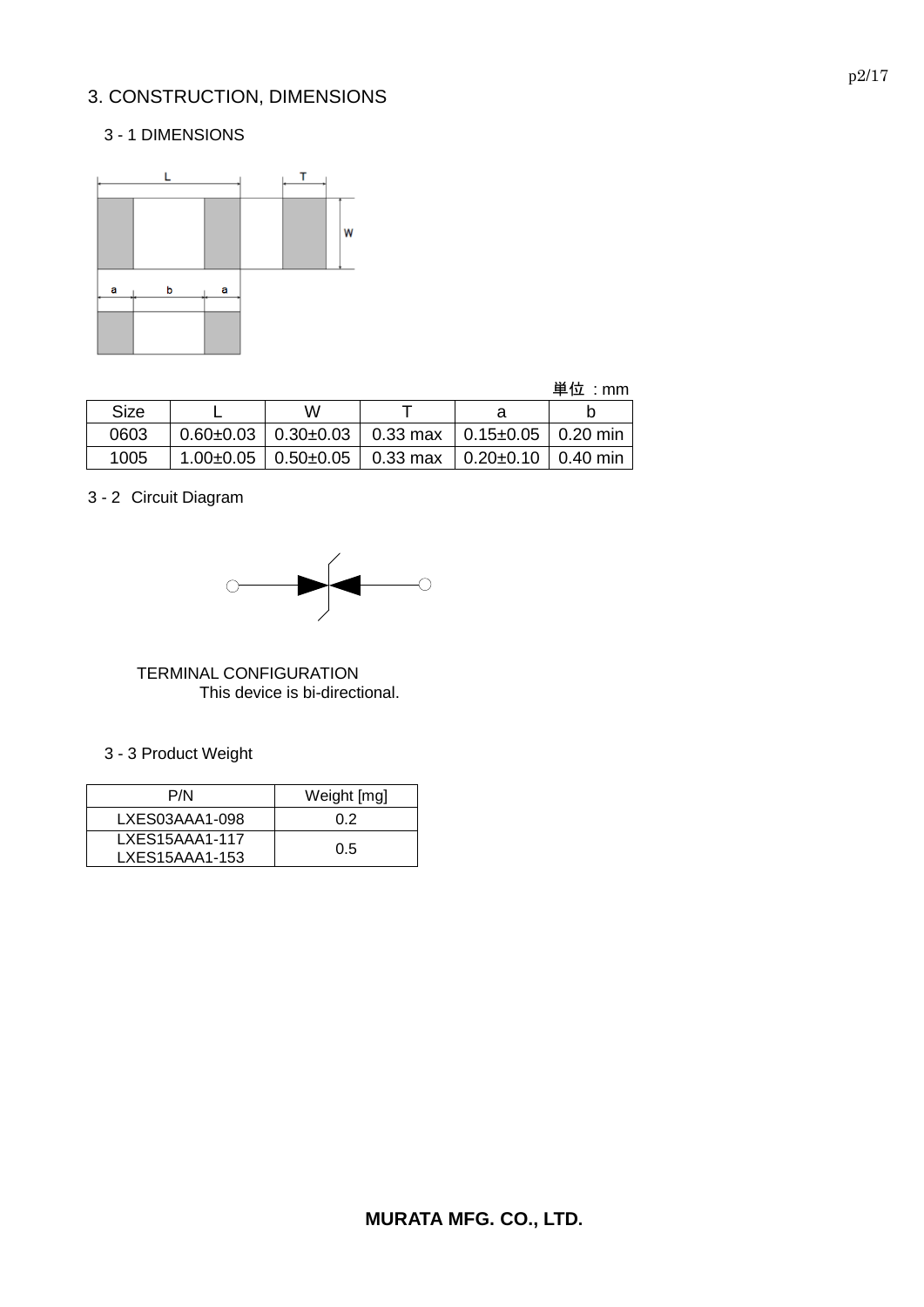# 3. CONSTRUCTION, DIMENSIONS

### 3 - 1 DIMENSIONS



| 単位 |  | mm |
|----|--|----|
|----|--|----|

| Size | w |                                                                         |  |  |  |
|------|---|-------------------------------------------------------------------------|--|--|--|
| 0603 |   | $0.60\pm0.03$   $0.30\pm0.03$   0.33 max   0.15 $\pm0.05$   0.20 min    |  |  |  |
| 1005 |   | $1.00\pm0.05$   0.50 $\pm$ 0.05   0.33 max   0.20 $\pm$ 0.10   0.40 min |  |  |  |

3 - 2 Circuit Diagram



 TERMINAL CONFIGURATION This device is bi-directional.

3 - 3 Product Weight

| P/N            | Weight [mg] |
|----------------|-------------|
| LXES03AAA1-098 | 0.2         |
| LXES15AAA1-117 | 0.5         |
| LXES15AAA1-153 |             |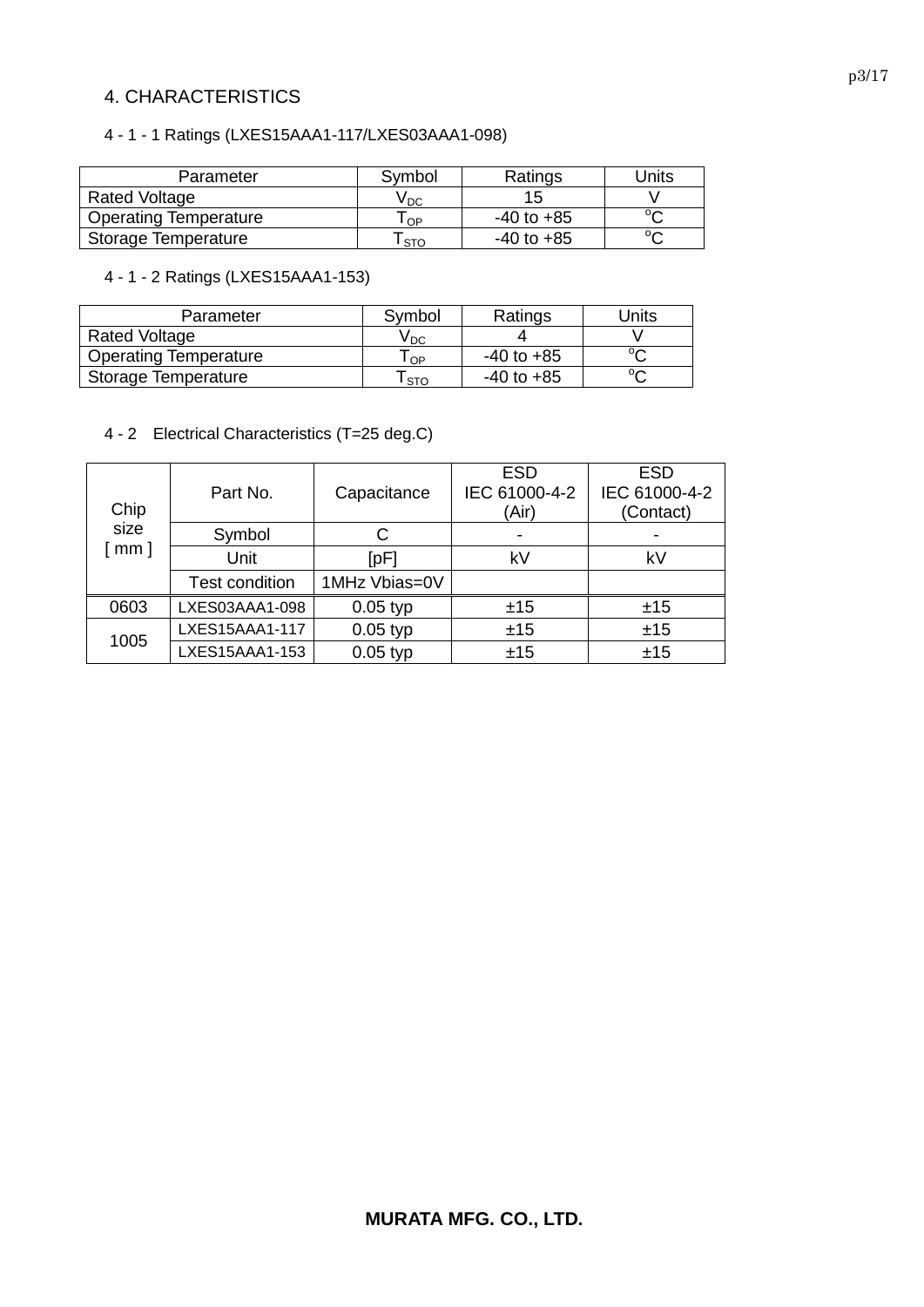### 4. CHARACTERISTICS

### 4 - 1 - 1 Ratings (LXES15AAA1-117/LXES03AAA1-098)

| Parameter                    | Symbol | Ratings        | Jnits  |
|------------------------------|--------|----------------|--------|
| Rated Voltage                | V DC   |                |        |
| <b>Operating Temperature</b> | OP     | $-40$ to $+85$ | $\sim$ |
| Storage Temperature          | l STO  | $-40$ to $+85$ | $\sim$ |

### 4 - 1 - 2 Ratings (LXES15AAA1-153)

| Parameter                    | Symbol     | Ratings        | Units  |
|------------------------------|------------|----------------|--------|
| <b>Rated Voltage</b>         | V DC       |                |        |
| <b>Operating Temperature</b> | l OP       | $-40$ to $+85$ | $\sim$ |
| Storage Temperature          | <b>STO</b> | $-40$ to $+85$ |        |

### 4 - 2 Electrical Characteristics (T=25 deg.C)

| Chip       | Part No.              | Capacitance   | <b>ESD</b><br>IEC 61000-4-2<br>(Air) | <b>ESD</b><br>IEC 61000-4-2<br>(Contact) |
|------------|-----------------------|---------------|--------------------------------------|------------------------------------------|
| size       | Symbol                | С             | $\blacksquare$                       |                                          |
| $[$ mm $]$ | Unit                  | [pF]          | kV                                   | kV                                       |
|            | <b>Test condition</b> | 1MHz Vbias=0V |                                      |                                          |
| 0603       | LXES03AAA1-098        | $0.05$ typ    | ±15                                  | ±15                                      |
|            | LXES15AAA1-117        | $0.05$ typ    | ±15                                  | ±15                                      |
| 1005       | LXES15AAA1-153        | $0.05$ typ    | ±15                                  | ±15                                      |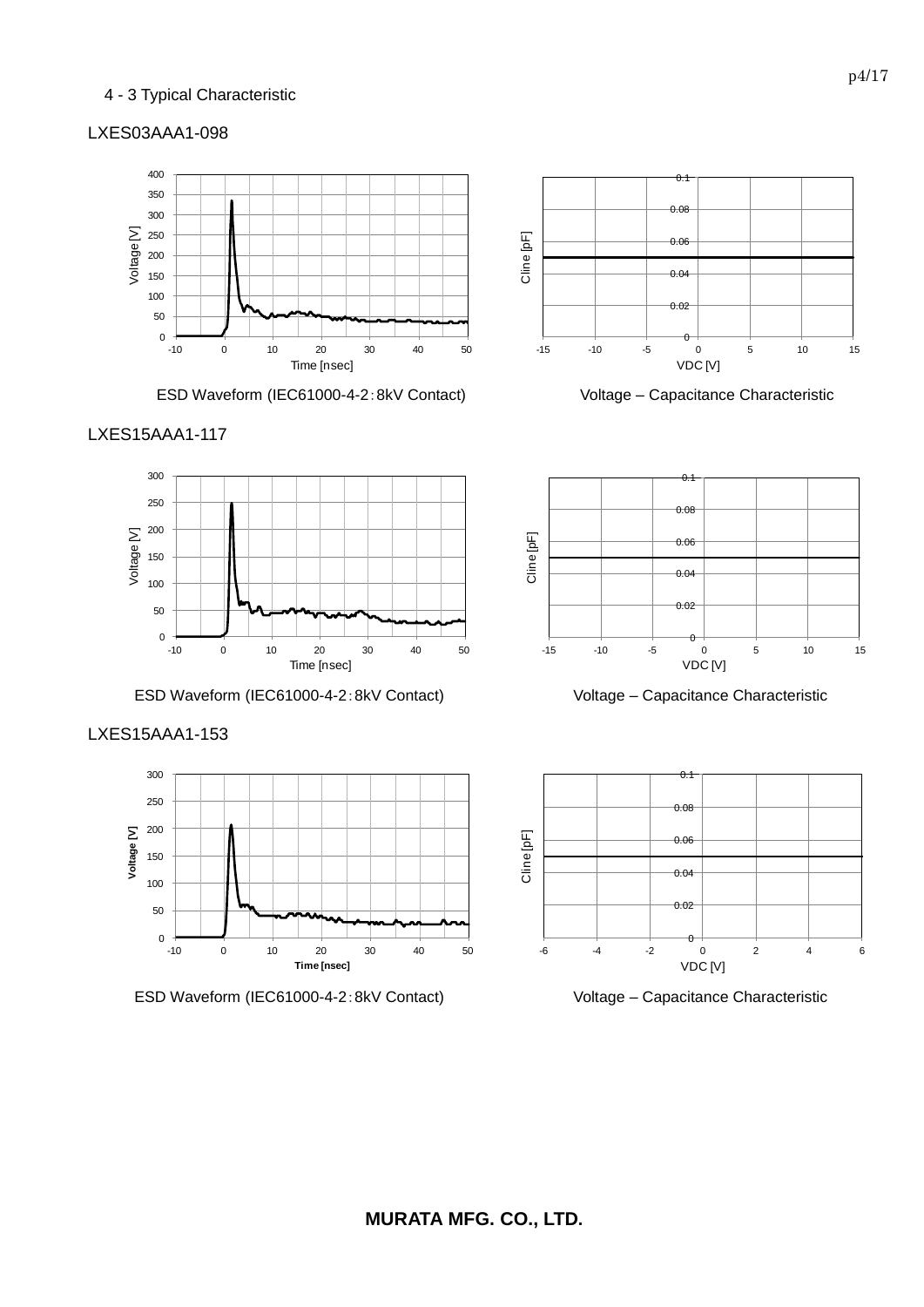### 4 - 3 Typical Characteristic

### LXES03AAA1-098



**ESD Waveform (IEC61000-4-2:8kV Contact) Voltage – Capacitance Characteristic** 







ESD Waveform (IEC61000-4-2:8kV Contact) Voltage – Capacitance Characteristic



0.08  $0.1$ 







ESD Waveform (IEC61000-4-2:8kV Contact) Voltage – Capacitance Characteristic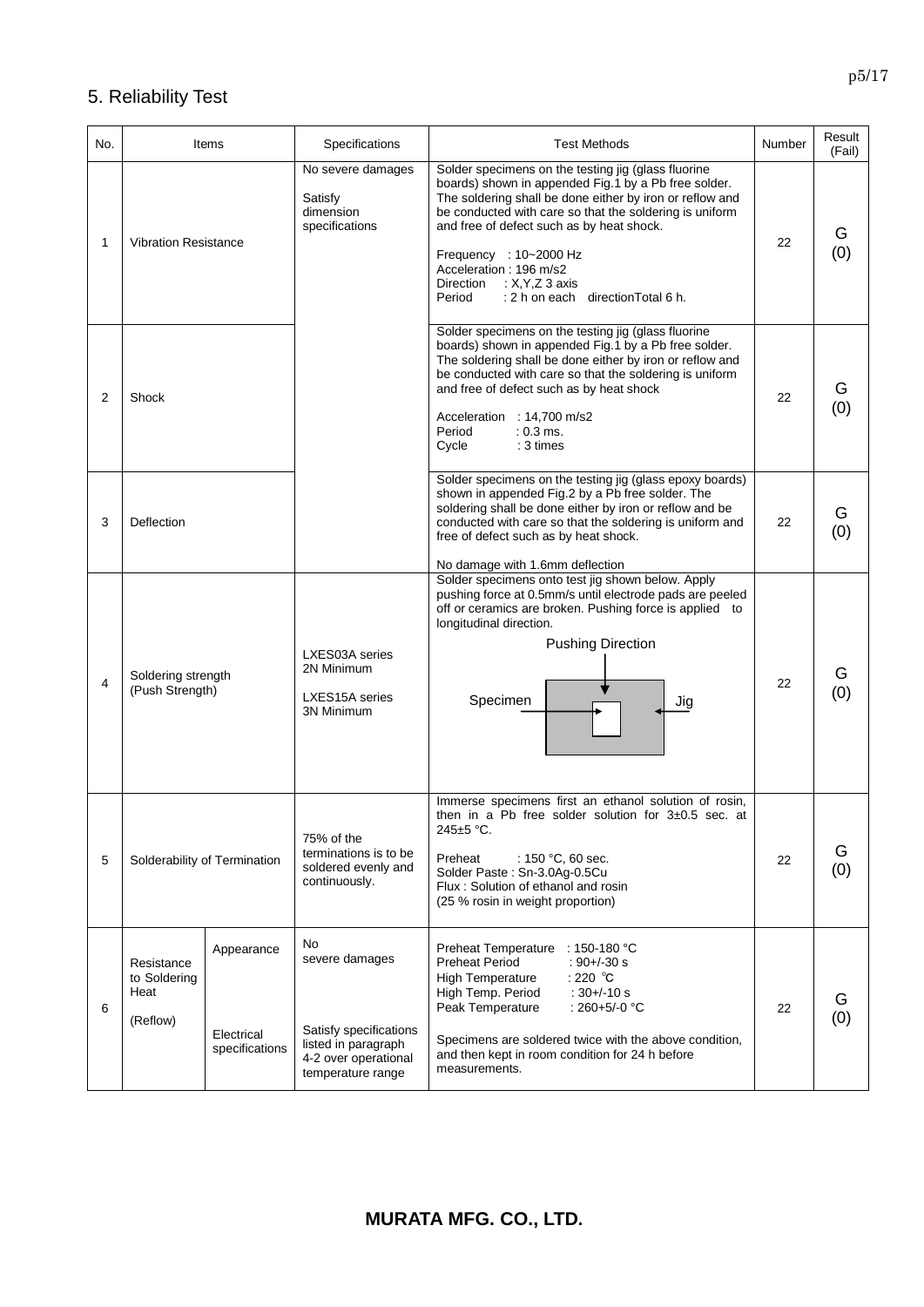# 5. Reliability Test

| No. | Items                                                                                        | Specifications                                                                                                     | <b>Test Methods</b>                                                                                                                                                                                                                                                                                                                                                                                                    | Number | Result<br>(Fail) |
|-----|----------------------------------------------------------------------------------------------|--------------------------------------------------------------------------------------------------------------------|------------------------------------------------------------------------------------------------------------------------------------------------------------------------------------------------------------------------------------------------------------------------------------------------------------------------------------------------------------------------------------------------------------------------|--------|------------------|
| 1   | <b>Vibration Resistance</b>                                                                  | No severe damages<br>Satisfy<br>dimension<br>specifications                                                        | Solder specimens on the testing jig (glass fluorine<br>boards) shown in appended Fig.1 by a Pb free solder.<br>The soldering shall be done either by iron or reflow and<br>be conducted with care so that the soldering is uniform<br>and free of defect such as by heat shock.<br>Frequency : 10~2000 Hz<br>Acceleration: 196 m/s2<br>Direction<br>$:$ X, Y, Z 3 axis<br>: 2 h on each direction Total 6 h.<br>Period | 22     | G<br>(0)         |
| 2   | Shock                                                                                        |                                                                                                                    | Solder specimens on the testing jig (glass fluorine<br>boards) shown in appended Fig.1 by a Pb free solder.<br>The soldering shall be done either by iron or reflow and<br>be conducted with care so that the soldering is uniform<br>and free of defect such as by heat shock<br>Acceleration : 14,700 m/s2<br>$: 0.3 \, \text{ms}$ .<br>Period<br>Cycle<br>$: 3 \times$                                              | 22     | G<br>(0)         |
| 3   | Deflection                                                                                   |                                                                                                                    | Solder specimens on the testing jig (glass epoxy boards)<br>shown in appended Fig.2 by a Pb free solder. The<br>soldering shall be done either by iron or reflow and be<br>conducted with care so that the soldering is uniform and<br>free of defect such as by heat shock.<br>No damage with 1.6mm deflection                                                                                                        | 22     | G<br>(0)         |
| 4   | Soldering strength<br>(Push Strength)                                                        | LXES03A series<br>2N Minimum<br>LXES15A series<br><b>3N Minimum</b>                                                | Solder specimens onto test jig shown below. Apply<br>pushing force at 0.5mm/s until electrode pads are peeled<br>off or ceramics are broken. Pushing force is applied to<br>longitudinal direction.<br><b>Pushing Direction</b><br>Specimen<br>Jig                                                                                                                                                                     | 22     | G<br>(0)         |
| 5   | Solderability of Termination                                                                 | 75% of the<br>terminations is to be<br>soldered evenly and<br>continuously.                                        | Immerse specimens first an ethanol solution of rosin,<br>then in a Pb free solder solution for $3\pm0.5$ sec. at<br>245±5 °C.<br>Preheat<br>: 150 °C, 60 sec.<br>Solder Paste: Sn-3.0Ag-0.5Cu<br>Flux: Solution of ethanol and rosin<br>(25 % rosin in weight proportion)                                                                                                                                              | 22     | G<br>(0)         |
| 6   | Appearance<br>Resistance<br>to Soldering<br>Heat<br>(Reflow)<br>Electrical<br>specifications | No<br>severe damages<br>Satisfy specifications<br>listed in paragraph<br>4-2 over operational<br>temperature range | Preheat Temperature<br>$:$ 150-180 °C<br>Preheat Period<br>$: 90 + (-30 s)$<br>: 220 $^{\circ}$ C<br><b>High Temperature</b><br>High Temp. Period<br>$:30 + (-10 s)$<br>Peak Temperature<br>: 260+5/-0 $°C$<br>Specimens are soldered twice with the above condition,<br>and then kept in room condition for 24 h before<br>measurements.                                                                              | 22     | G<br>(0)         |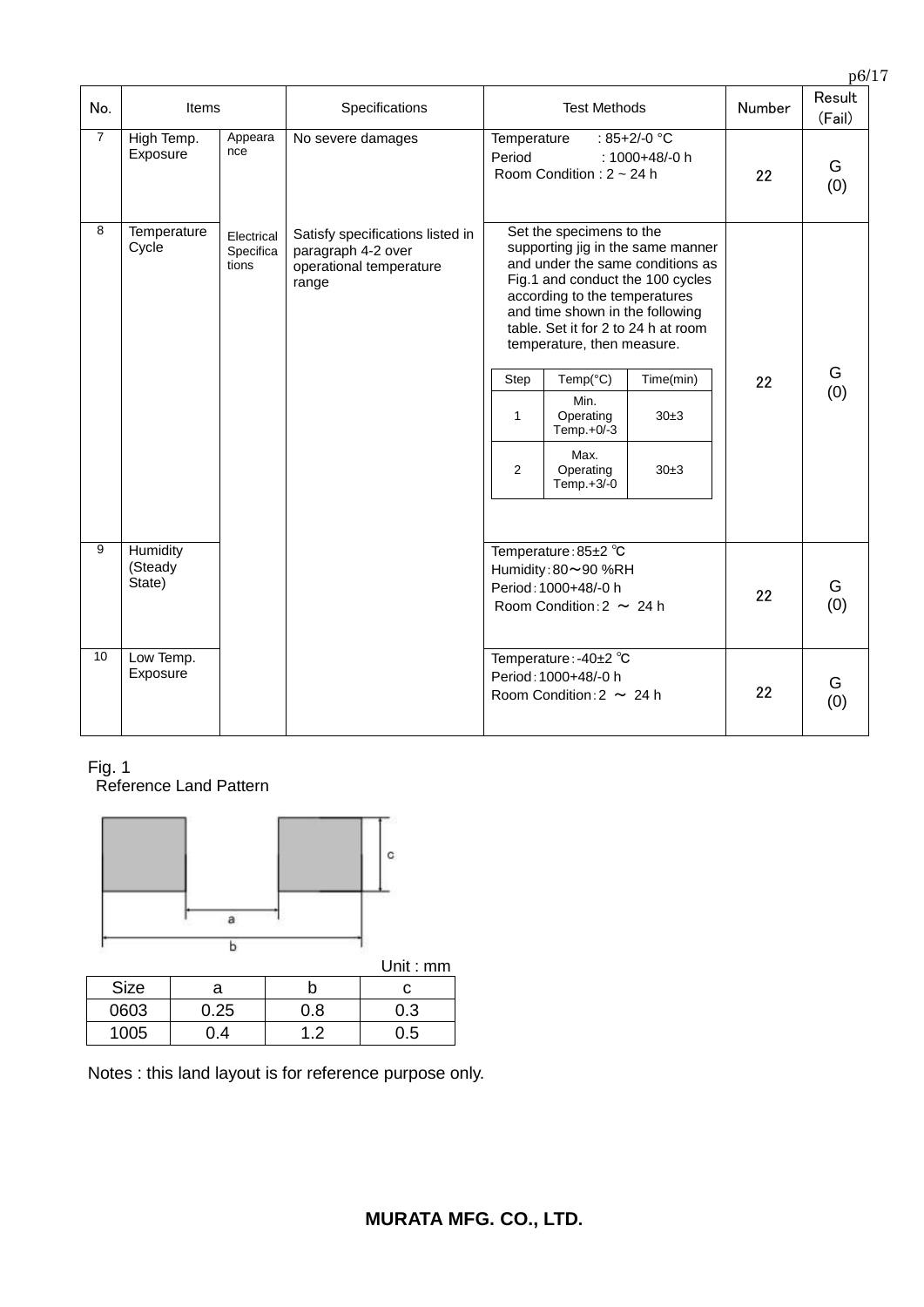| No.            | Items                         |                                  | Specifications                                                                             |                                                                                                      | <b>Test Methods</b>                                                                                                                                                                                                 |                                                                                                                                                                               | Number | Result<br>(Fail) |
|----------------|-------------------------------|----------------------------------|--------------------------------------------------------------------------------------------|------------------------------------------------------------------------------------------------------|---------------------------------------------------------------------------------------------------------------------------------------------------------------------------------------------------------------------|-------------------------------------------------------------------------------------------------------------------------------------------------------------------------------|--------|------------------|
| $\overline{7}$ | High Temp.<br>Exposure        | Appeara<br>nce                   | No severe damages                                                                          | Temperature<br>Period                                                                                | Room Condition: 2 ~ 24 h                                                                                                                                                                                            | : 85+2/-0 °C<br>: 1000+48/-0 h                                                                                                                                                | 22     | G<br>(0)         |
| 8              | Temperature<br>Cycle          | Electrical<br>Specifica<br>tions | Satisfy specifications listed in<br>paragraph 4-2 over<br>operational temperature<br>range | Step<br>1<br>2                                                                                       | Set the specimens to the<br>according to the temperatures<br>and time shown in the following<br>temperature, then measure.<br>Temp( $°C$ )<br>Min.<br>Operating<br>Temp.+0/-3<br>Max.<br>Operating<br>Temp. $+3/-0$ | supporting jig in the same manner<br>and under the same conditions as<br>Fig.1 and conduct the 100 cycles<br>table. Set it for 2 to 24 h at room<br>Time(min)<br>30±3<br>30±3 | 22     | G<br>(0)         |
| 9              | Humidity<br>(Steady<br>State) |                                  |                                                                                            | Temperature: 85±2 °C<br>Humidity: 80~90 %RH<br>Period: 1000+48/-0 h<br>Room Condition: $2 \sim 24$ h |                                                                                                                                                                                                                     |                                                                                                                                                                               | 22     | G<br>(0)         |
| 10             | Low Temp.<br>Exposure         |                                  |                                                                                            |                                                                                                      | Temperature: -40±2 °C<br>Period: 1000+48/-0 h<br>Room Condition: $2 \sim 24$ h                                                                                                                                      |                                                                                                                                                                               | 22     | G<br>(0)         |

Fig. 1 Reference Land Pattern



|             |      |     | <b>UIIII.IIIII</b> |
|-------------|------|-----|--------------------|
| <b>Size</b> | а    |     |                    |
| 0603        | 0.25 | 0.8 | 0.3                |
| 1005        |      |     | 0.5                |

Notes : this land layout is for reference purpose only.

p6/17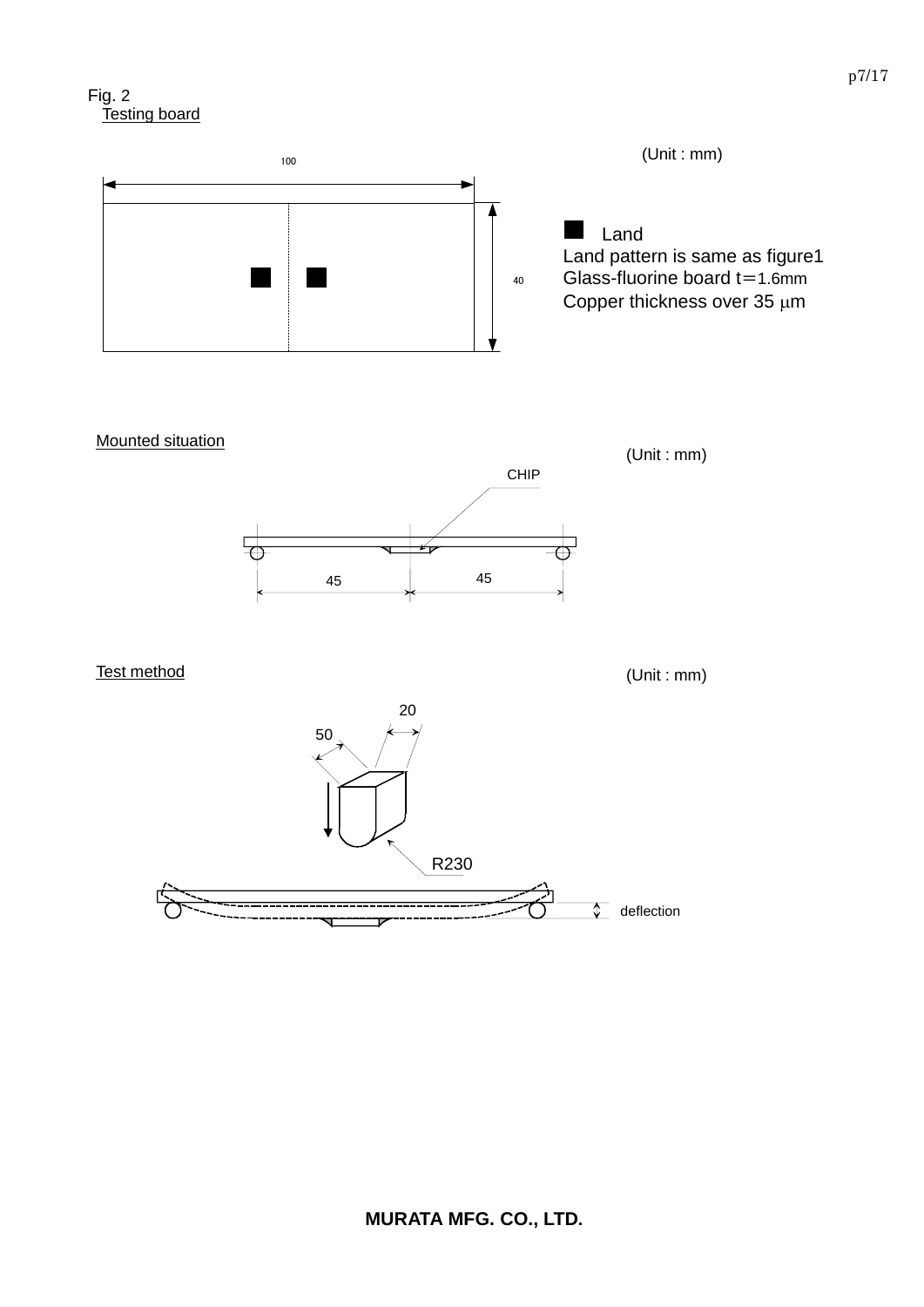



**Mounted situation** 



Test method

(Unit : mm)

(Unit : mm)

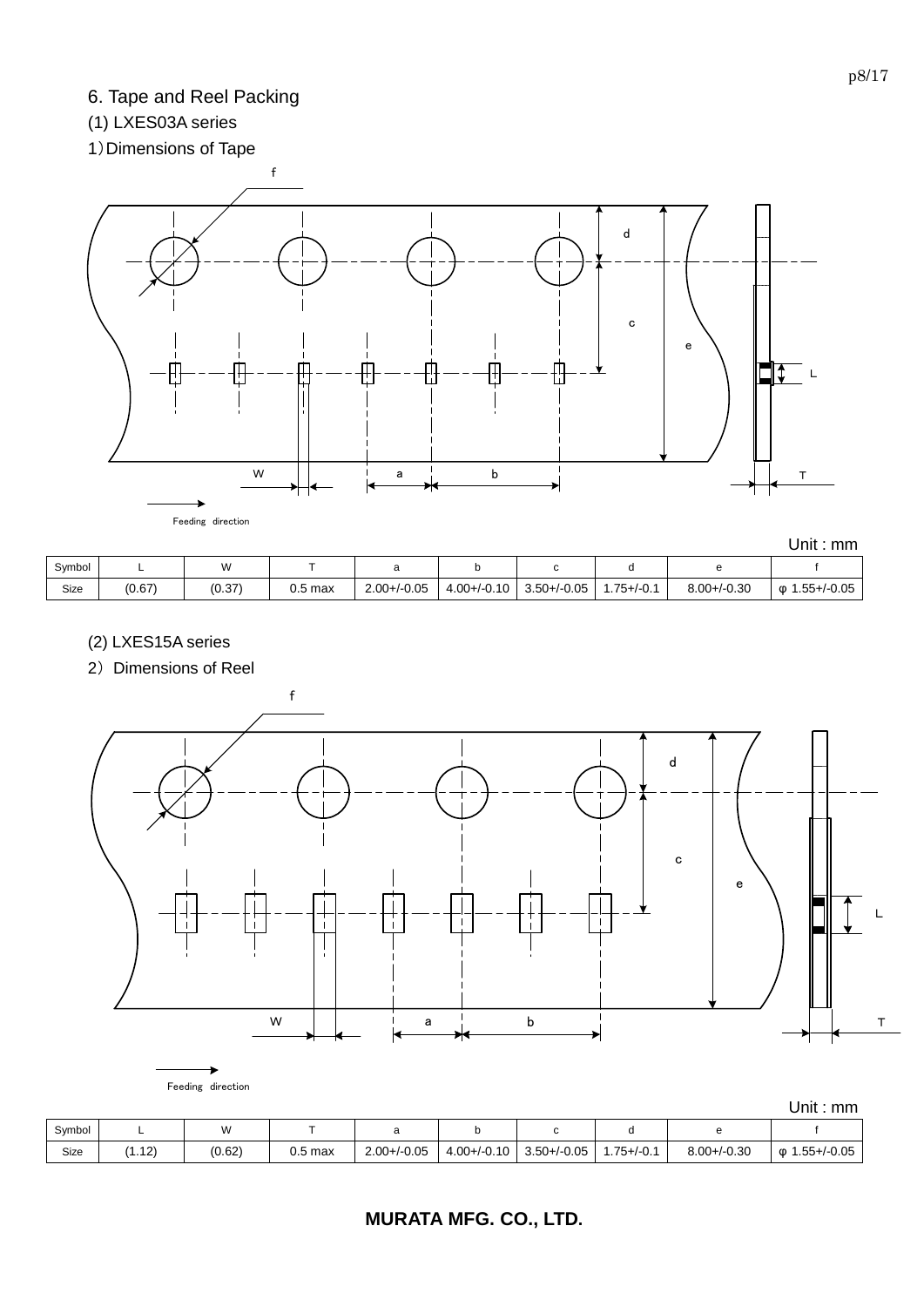# 6. Tape and Reel Packing

# (1) LXES03A series

# 1)Dimensions of Tape



|        |        |        |           |                  |                  |                  |                |                  | mm<br>Uniti        |
|--------|--------|--------|-----------|------------------|------------------|------------------|----------------|------------------|--------------------|
| Symbol | -      | W      |           |                  |                  | ີ                |                |                  |                    |
| Size   | (0.67) | (0.37) | $0.5$ max | $2.00 + / -0.05$ | $4.00 + (-0.10)$ | $3.50 + (-0.05)$ | $.75 + (-0.1)$ | $8.00 + / -0.30$ | 1.55+/-0.05<br>ወ 1 |

- (2) LXES15A series
- 2) Dimensions of Reel



|        |        |        |           |                  |                  |                  |                 |                  | UNIL . MIN               |
|--------|--------|--------|-----------|------------------|------------------|------------------|-----------------|------------------|--------------------------|
| Symbol |        | w      |           |                  |                  |                  |                 |                  |                          |
| Size   | (1.12) | (0.62) | $0.5$ max | $2.00 + (-0.05)$ | $4.00 + (-0.10)$ | $3.50 + (-0.05)$ | $1.75 + (-0.1)$ | $8.00 + / -0.30$ | $.55 + / -0.05$<br>:დ. 1 |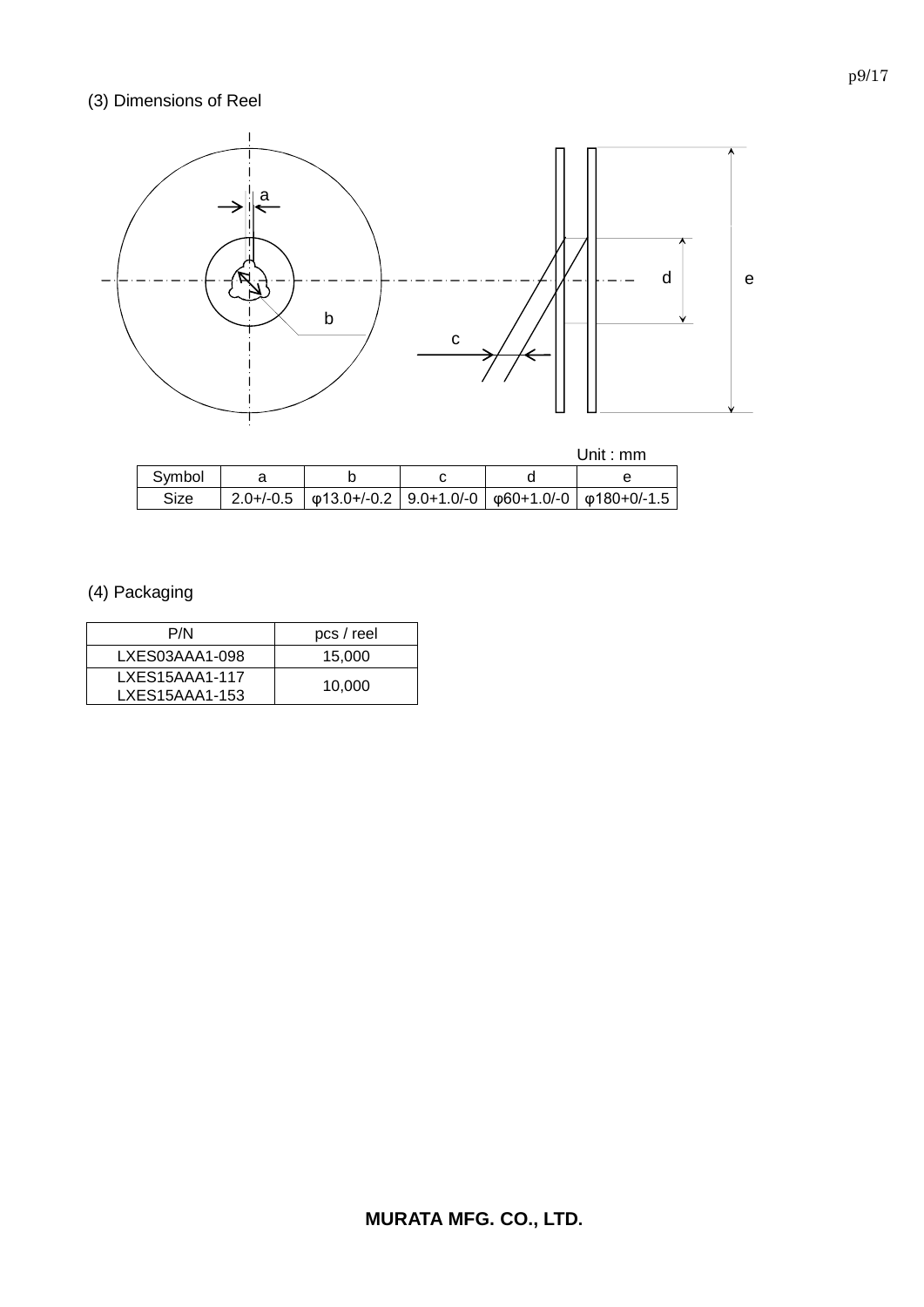# (3) Dimensions of Reel



# (4) Packaging

| P/N              | pcs / reel |
|------------------|------------|
| LXES03AAA1-098   | 15,000     |
| $LXES15AAA1-117$ | 10,000     |
| LXES15AAA1-153   |            |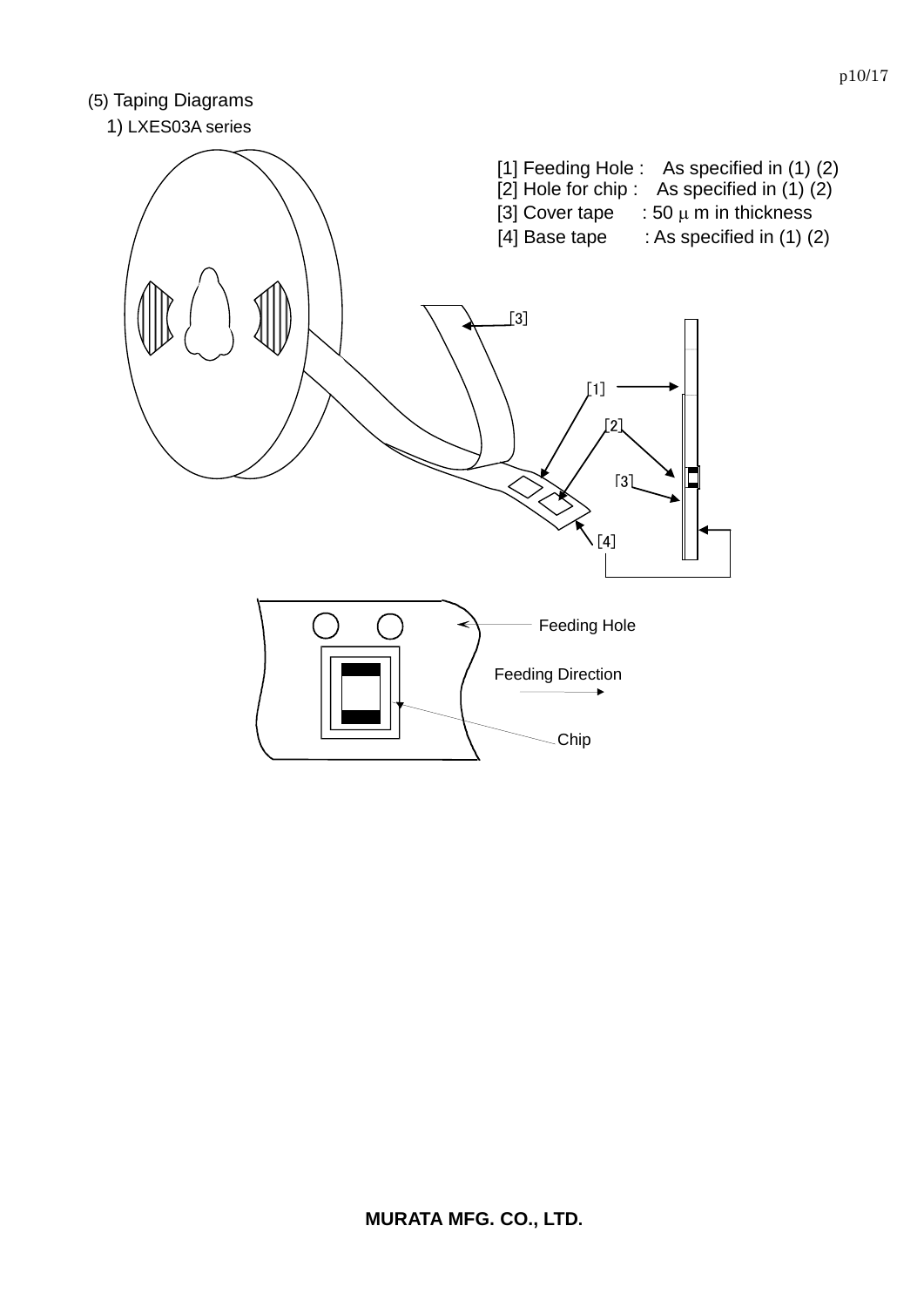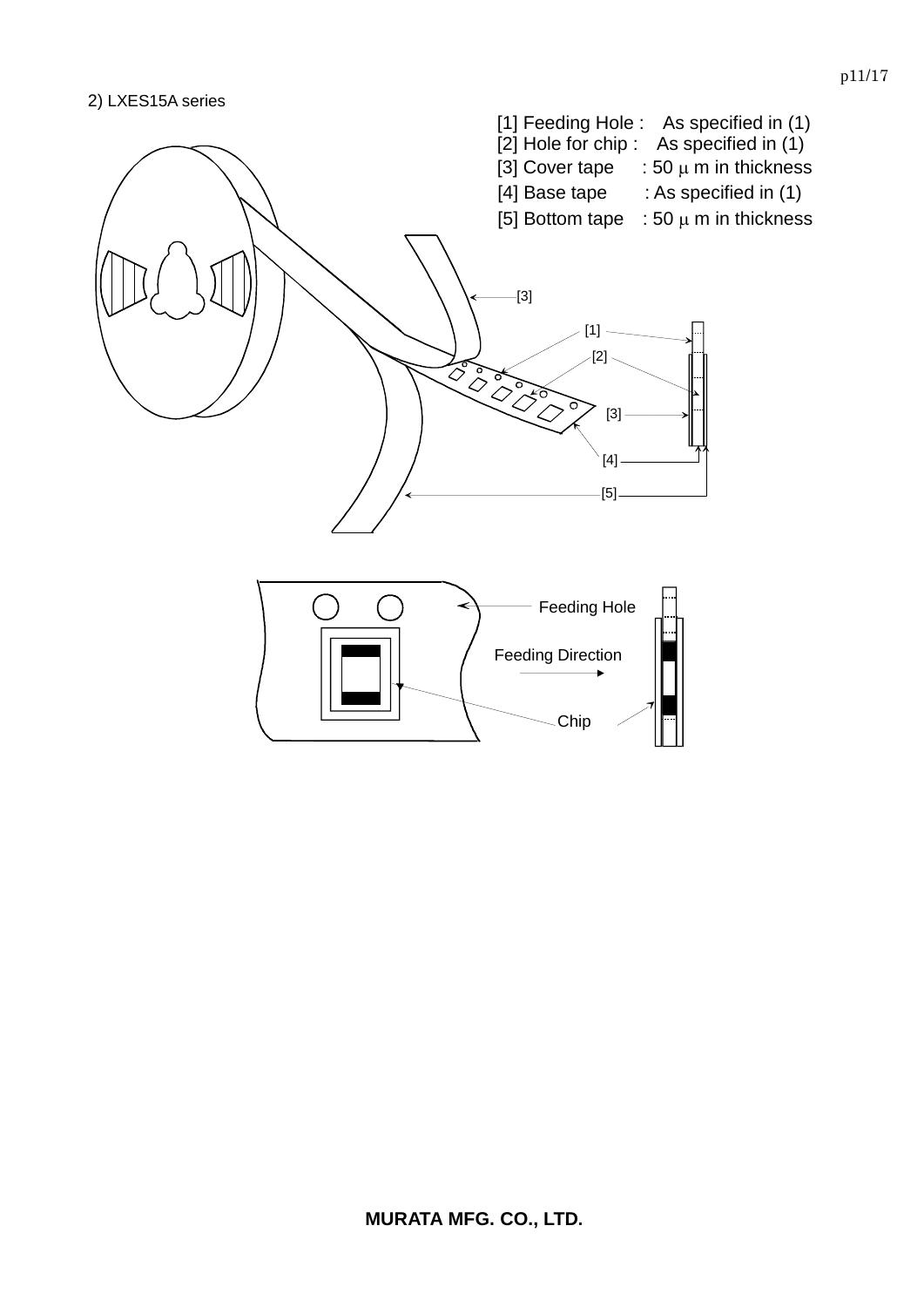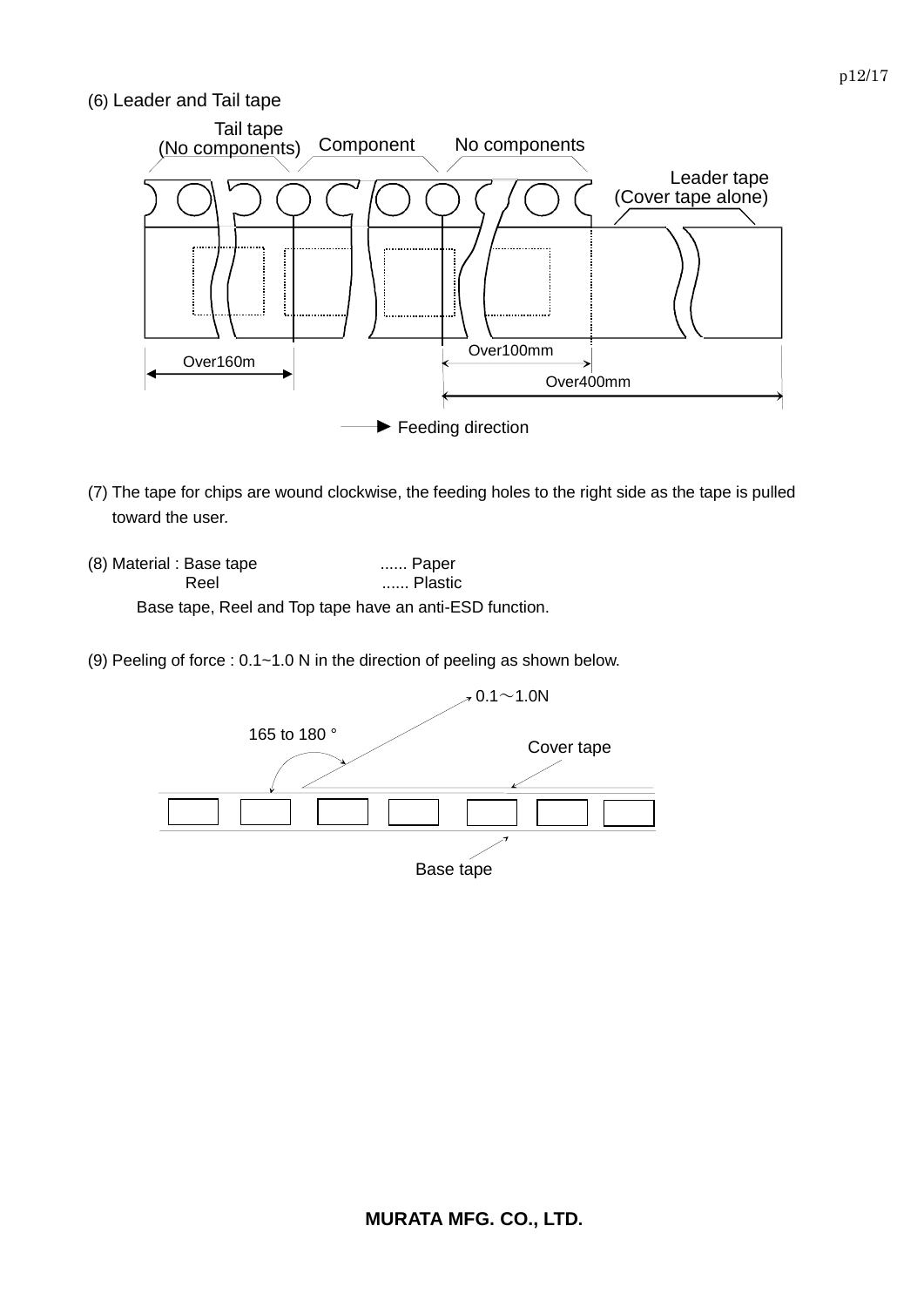### (6) Leader and Tail tape



- (7) The tape for chips are wound clockwise, the feeding holes to the right side as the tape is pulled toward the user.
- (8) Material : Base tape ...... Paper Reel ....... Plastic Base tape, Reel and Top tape have an anti-ESD function.
- (9) Peeling of force : 0.1~1.0 N in the direction of peeling as shown below.

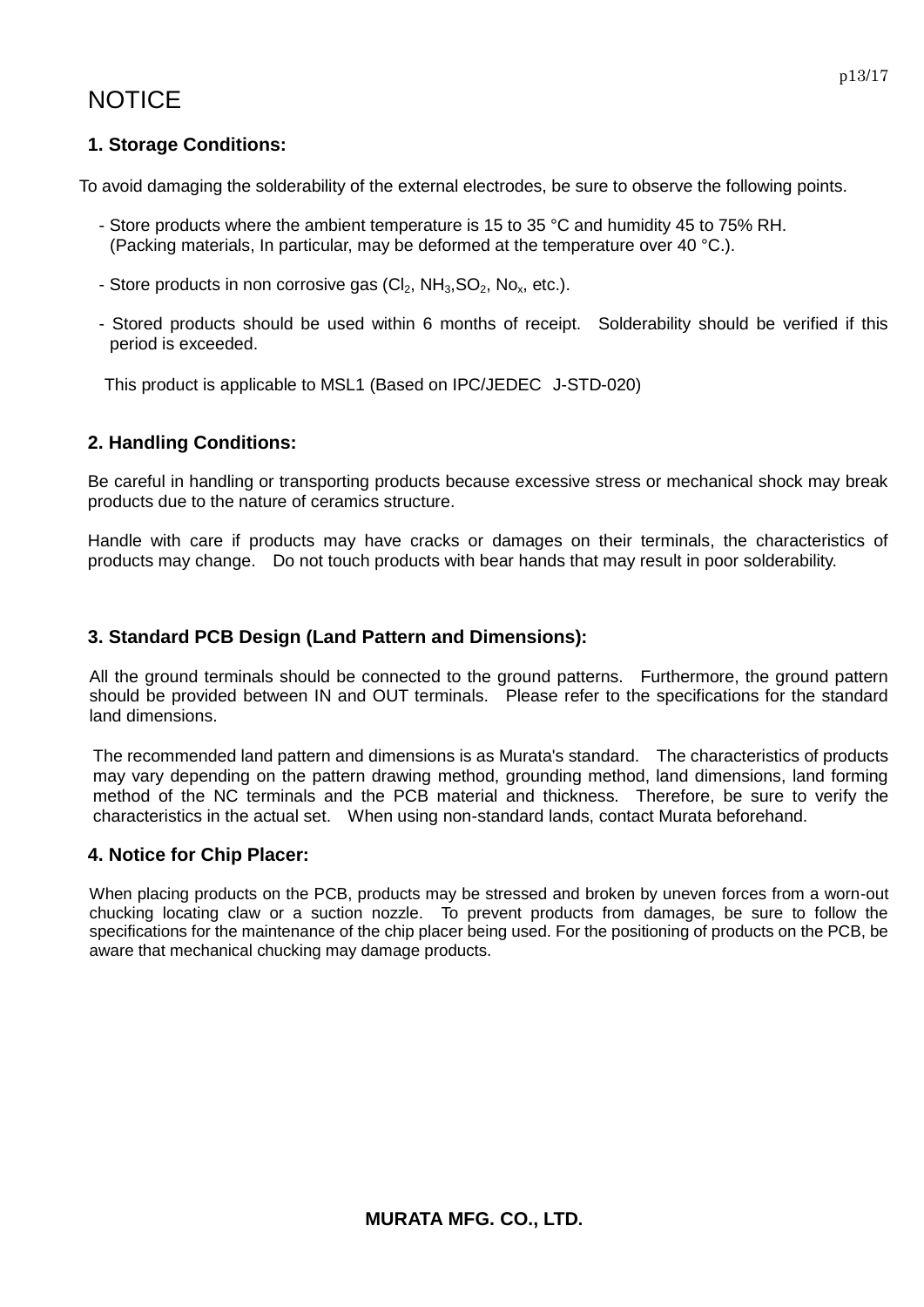# **NOTICE**

# **1. Storage Conditions:**

To avoid damaging the solderability of the external electrodes, be sure to observe the following points.

- Store products where the ambient temperature is 15 to 35 °C and humidity 45 to 75% RH. (Packing materials, In particular, may be deformed at the temperature over 40 °C.).
- Store products in non corrosive gas  $(Cl_2, NH_3, SO_2, No_x, etc.).$
- Stored products should be used within 6 months of receipt. Solderability should be verified if this period is exceeded.

This product is applicable to MSL1 (Based on IPC/JEDEC J-STD-020)

# **2. Handling Conditions:**

Be careful in handling or transporting products because excessive stress or mechanical shock may break products due to the nature of ceramics structure.

Handle with care if products may have cracks or damages on their terminals, the characteristics of products may change. Do not touch products with bear hands that may result in poor solderability.

### **3. Standard PCB Design (Land Pattern and Dimensions):**

All the ground terminals should be connected to the ground patterns. Furthermore, the ground pattern should be provided between IN and OUT terminals. Please refer to the specifications for the standard land dimensions.

The recommended land pattern and dimensions is as Murata's standard. The characteristics of products may vary depending on the pattern drawing method, grounding method, land dimensions, land forming method of the NC terminals and the PCB material and thickness. Therefore, be sure to verify the characteristics in the actual set. When using non-standard lands, contact Murata beforehand.

### **4. Notice for Chip Placer:**

When placing products on the PCB, products may be stressed and broken by uneven forces from a worn-out chucking locating claw or a suction nozzle. To prevent products from damages, be sure to follow the specifications for the maintenance of the chip placer being used. For the positioning of products on the PCB, be aware that mechanical chucking may damage products.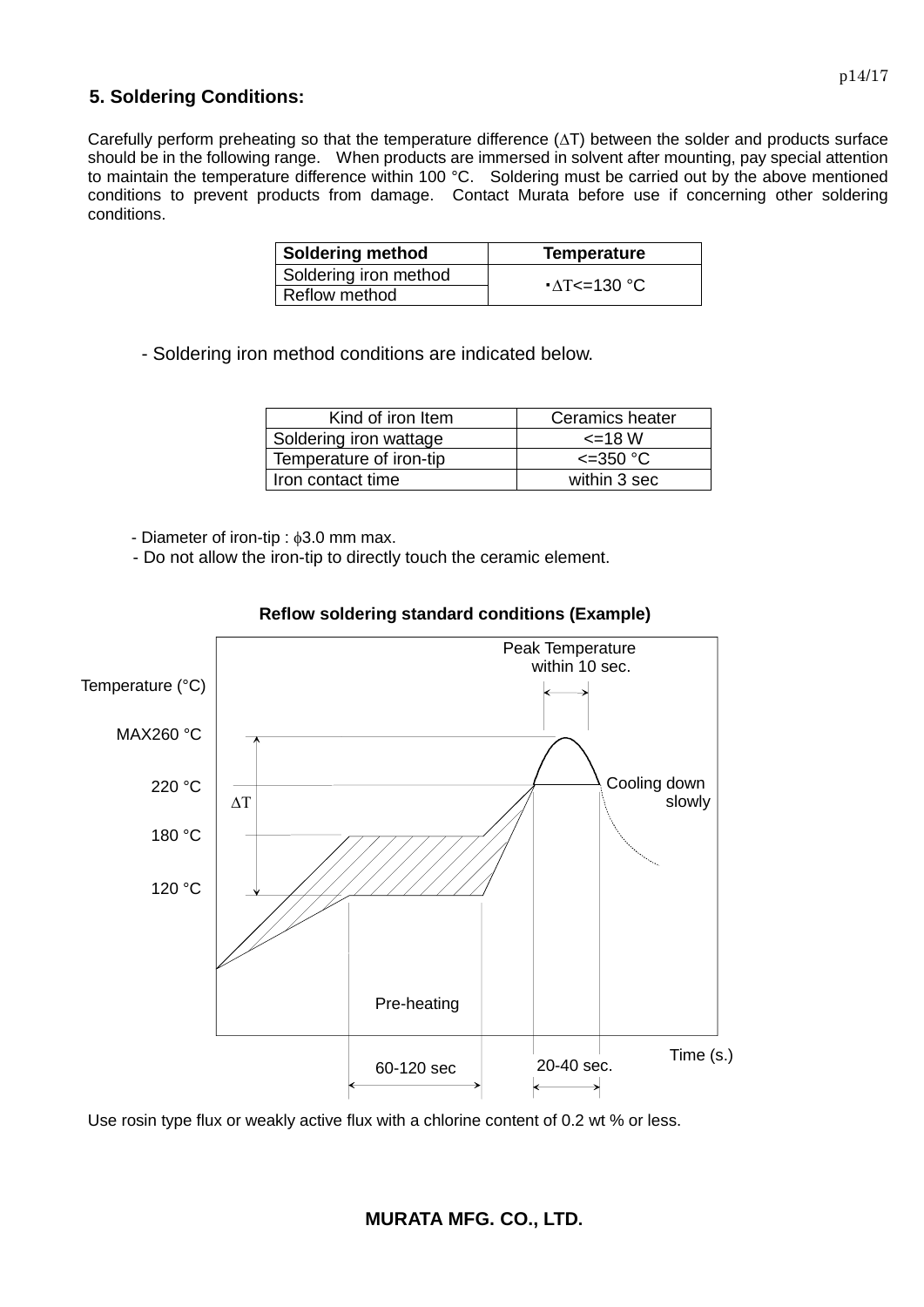### **5. Soldering Conditions:**

Carefully perform preheating so that the temperature difference  $(\Delta T)$  between the solder and products surface should be in the following range. When products are immersed in solvent after mounting, pay special attention to maintain the temperature difference within 100 °C. Soldering must be carried out by the above mentioned conditions to prevent products from damage. Contact Murata before use if concerning other soldering conditions.

| <b>Soldering method</b> | <b>Temperature</b>  |
|-------------------------|---------------------|
| Soldering iron method   | $\Delta T$ <=130 °C |
| Reflow method           |                     |

- Soldering iron method conditions are indicated below.

| Kind of iron Item       | Ceramics heater    |
|-------------------------|--------------------|
| Soldering iron wattage  | $\leq$ 18 W        |
| Temperature of iron-tip | $\epsilon$ =350 °C |
| Iron contact time       | within 3 sec       |

- Diameter of iron-tip :  $\phi$ 3.0 mm max.

- Do not allow the iron-tip to directly touch the ceramic element.



### **Reflow soldering standard conditions (Example)**

Use rosin type flux or weakly active flux with a chlorine content of 0.2 wt % or less.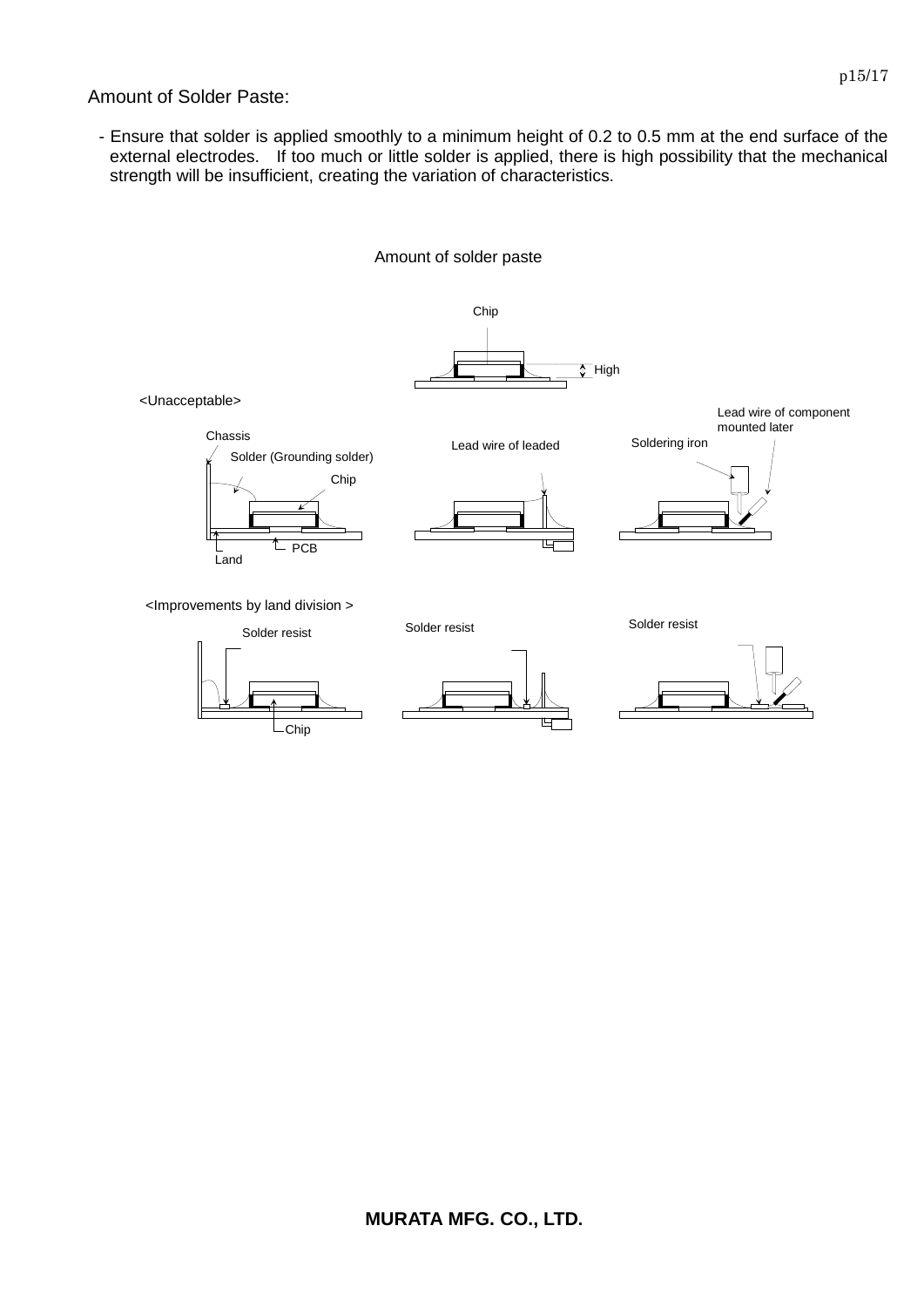Amount of Solder Paste:

- Ensure that solder is applied smoothly to a minimum height of 0.2 to 0.5 mm at the end surface of the external electrodes. If too much or little solder is applied, there is high possibility that the mechanical strength will be insufficient, creating the variation of characteristics.

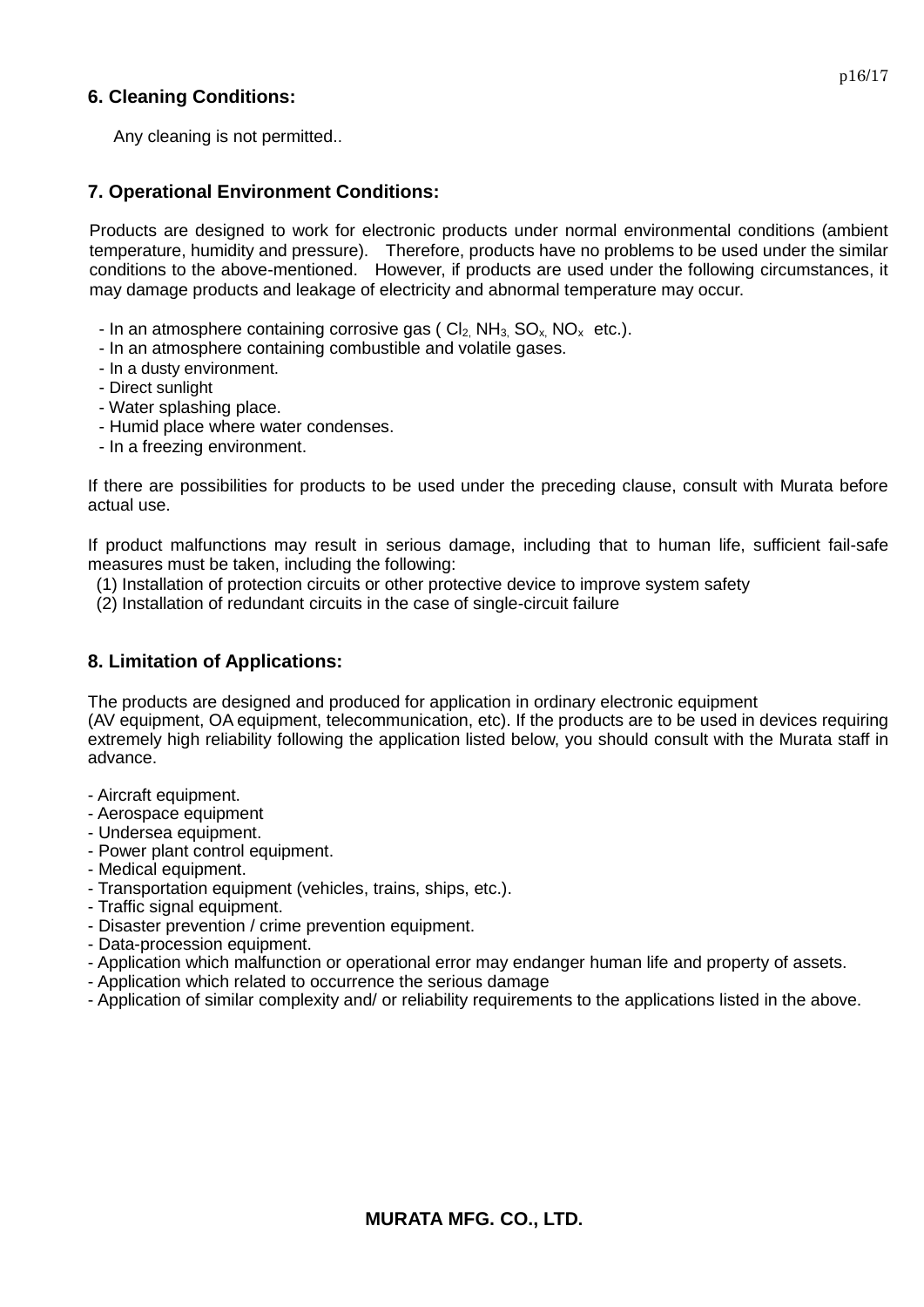### **6. Cleaning Conditions:**

Any cleaning is not permitted..

### **7. Operational Environment Conditions:**

Products are designed to work for electronic products under normal environmental conditions (ambient temperature, humidity and pressure). Therefore, products have no problems to be used under the similar conditions to the above-mentioned. However, if products are used under the following circumstances, it may damage products and leakage of electricity and abnormal temperature may occur.

- In an atmosphere containing corrosive gas ( $Cl_2$ , NH<sub>3</sub>, SO<sub>x</sub>, NO<sub>x</sub> etc.).
- In an atmosphere containing combustible and volatile gases.
- In a dusty environment.
- Direct sunlight
- Water splashing place.
- Humid place where water condenses.
- In a freezing environment.

If there are possibilities for products to be used under the preceding clause, consult with Murata before actual use.

If product malfunctions may result in serious damage, including that to human life, sufficient fail-safe measures must be taken, including the following:

- (1) Installation of protection circuits or other protective device to improve system safety
- (2) Installation of redundant circuits in the case of single-circuit failure

# **8. Limitation of Applications:**

The products are designed and produced for application in ordinary electronic equipment

(AV equipment, OA equipment, telecommunication, etc). If the products are to be used in devices requiring extremely high reliability following the application listed below, you should consult with the Murata staff in advance.

- Aircraft equipment.
- Aerospace equipment
- Undersea equipment.
- Power plant control equipment.
- Medical equipment.
- Transportation equipment (vehicles, trains, ships, etc.).
- Traffic signal equipment.
- Disaster prevention / crime prevention equipment.
- Data-procession equipment.
- Application which malfunction or operational error may endanger human life and property of assets.
- Application which related to occurrence the serious damage
- Application of similar complexity and/ or reliability requirements to the applications listed in the above.